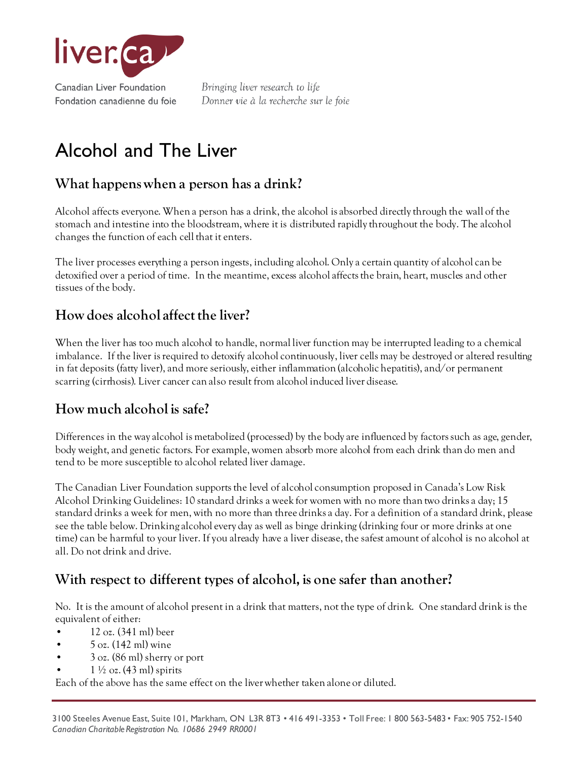

Bringing liver research to life Donner vie à la recherche sur le foie

# Alcohol and The Liver

# **What happens when a person has a drink?**

Alcohol affects everyone. When a person has a drink, the alcohol is absorbed directly through the wall of the stomach and intestine into the bloodstream, where it is distributed rapidly throughout the body. The alcohol changes the function of each cell that it enters.

The liver processes everything a person ingests, including alcohol. Only a certain quantity of alcohol can be detoxified over a period of time. In the meantime, excess alcohol affects the brain, heart, muscles and other tissues of the body.

## **How does alcohol affect the liver?**

When the liver has too much alcohol to handle, normal liver function may be interrupted leading to a chemical imbalance. If the liver is required to detoxify alcohol continuously, liver cells may be destroyed or altered resulting in fat deposits (fatty liver), and more seriously, either inflammation (alcoholic hepatitis), and/or permanent scarring (cirrhosis). Liver cancer can also result from alcohol induced liver disease.

# **How much alcohol is safe?**

Differences in the way alcohol is metabolized (processed) by the body are influenced by factors such as age, gender, body weight, and genetic factors. For example, women absorb more alcohol from each drink than do men and tend to be more susceptible to alcohol related liver damage.

The Canadian Liver Foundation supports the level of alcohol consumption proposed in Canada's Low Risk Alcohol Drinking Guidelines: 10 standard drinks a week for women with no more than two drinks a day; 15 standard drinks a week for men, with no more than three drinks a day. For a definition of a standard drink, please see the table below. Drinking alcohol every day as well as binge drinking (drinking four or more drinks at one time) can be harmful to your liver. If you already have a liver disease, the safest amount of alcohol is no alcohol at all. Do not drink and drive.

# **With respect to different types of alcohol, is one safer than another?**

No. It is the amount of alcohol present in a drink that matters, not the type of drink. One standard drink is the equivalent of either:

- 12 oz. (341 ml) beer
- 5 oz. (142 ml) wine
- 3 oz. (86 ml) sherry or port
- $1\frac{1}{2}$  oz. (43 ml) spirits

Each of the above has the same effect on the liver whether taken alone or diluted.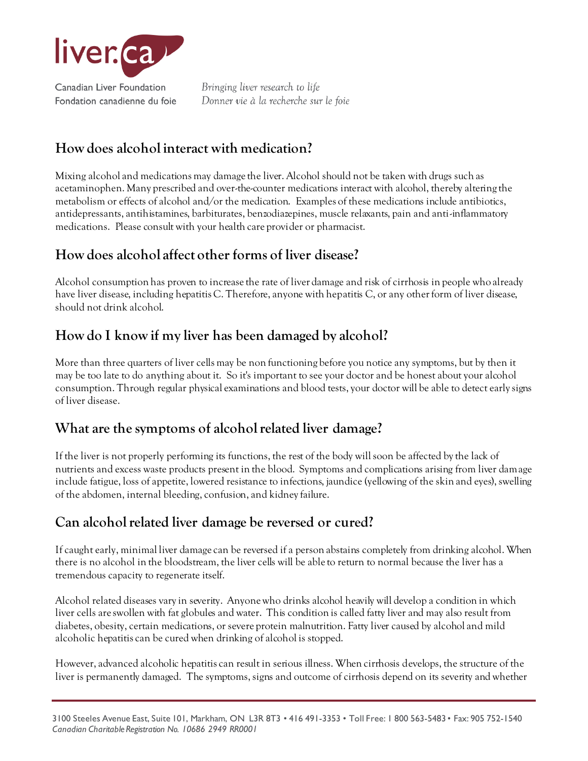

Fondation canadienne du foie

Bringing liver research to life Donner vie à la recherche sur le foie

# **How does alcohol interact with medication?**

Mixing alcohol and medications may damage the liver. Alcohol should not be taken with drugs such as acetaminophen. Many prescribed and over-the-counter medications interact with alcohol, thereby altering the metabolism or effects of alcohol and/or the medication. Examples of these medications include antibiotics, antidepressants, antihistamines, barbiturates, benzodiazepines, muscle relaxants, pain and anti-inflammatory medications. Please consult with your health care provider or pharmacist.

## **How does alcohol affect other forms of liver disease?**

Alcohol consumption has proven to increase the rate of liver damage and risk of cirrhosis in people who already have liver disease, including hepatitis C. Therefore, anyone with hepatitis C, or any other form of liver disease, should not drink alcohol.

## **How do I know if my liver has been damaged by alcohol?**

More than three quarters of liver cells may be non functioning before you notice any symptoms, but by then it may be too late to do anything about it. So it's important to see your doctor and be honest about your alcohol consumption. Through regular physical examinations and blood tests, your doctor will be able to detect early signs of liver disease.

## **What are the symptoms of alcohol related liver damage?**

If the liver is not properly performing its functions, the rest of the body will soon be affected by the lack of nutrients and excess waste products present in the blood. Symptoms and complications arising from liver damage include fatigue, loss of appetite, lowered resistance to infections, jaundice (yellowing of the skin and eyes), swelling of the abdomen, internal bleeding, confusion, and kidney failure.

## **Can alcohol related liver damage be reversed or cured?**

If caught early, minimal liver damage can be reversed if a person abstains completely from drinking alcohol. When there is no alcohol in the bloodstream, the liver cells will be able to return to normal because the liver has a tremendous capacity to regenerate itself.

Alcohol related diseases vary in severity. Anyone who drinks alcohol heavily will develop a condition in which liver cells are swollen with fat globules and water. This condition is called fatty liver and may also result from diabetes, obesity, certain medications, or severe protein malnutrition. Fatty liver caused by alcohol and mild alcoholic hepatitis can be cured when drinking of alcohol is stopped.

However, advanced alcoholic hepatitis can result in serious illness. When cirrhosis develops, the structure of the liver is permanently damaged. The symptoms, signs and outcome of cirrhosis depend on its severity and whether